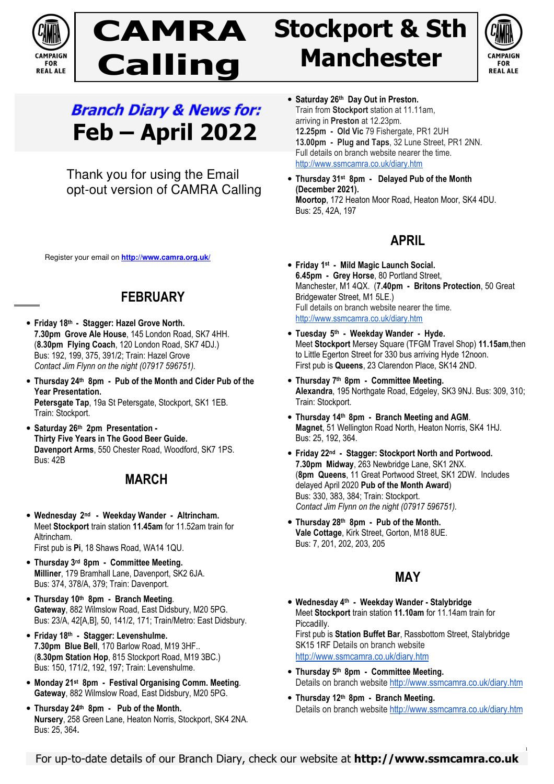

# **CAMRA Calling**

## **Stockport & Sth Manchester**



## **Branch Diary & News for: Feb – April 2022**

Thank you for using the Email opt-out version of CAMRA Calling

Register your email on **http://www.camra.org.uk/**

## **FEBRUARY**

- **Friday 18th Stagger: Hazel Grove North. 7.30pm Grove Ale House**, 145 London Road, SK7 4HH. (**8.30pm Flying Coach**, 120 London Road, SK7 4DJ.) Bus: 192, 199, 375, 391/2; Train: Hazel Grove *Contact Jim Flynn on the night (07917 596751).*
- **Thursday 24th 8pm Pub of the Month and Cider Pub of the Year Presentation. Petersgate Tap**, 19a St Petersgate, Stockport, SK1 1EB. Train: Stockport.
- **Saturday 26th 2pm Presentation Thirty Five Years in The Good Beer Guide. Davenport Arms**, 550 Chester Road, Woodford, SK7 1PS. Bus: 42B

### **MARCH**

- **Wednesday 2 nd Weekday Wander Altrincham.**  Meet **Stockport** train station **11.45am** for 11.52am train for Altrincham. First pub is **Pi**, 18 Shaws Road, WA14 1QU.
- **Thursday 3rd 8pm Committee Meeting. Milliner**, 179 Bramhall Lane, Davenport, SK2 6JA. Bus: 374, 378/A, 379; Train: Davenport.
- **Thursday 10th 8pm Branch Meeting***.* **Gateway**, 882 Wilmslow Road, East Didsbury, M20 5PG. Bus: 23/A, 42[A,B], 50, 141/2, 171; Train/Metro: East Didsbury.
- **Friday 18th Stagger: Levenshulme. 7.30pm Blue Bell**, 170 Barlow Road, M19 3HF.. (**8.30pm Station Hop**, 815 Stockport Road, M19 3BC.) Bus: 150, 171/2, 192, 197; Train: Levenshulme.
- **Monday 21st 8pm Festival Organising Comm. Meeting***.* **Gateway**, 882 Wilmslow Road, East Didsbury, M20 5PG.
- **Thursday 24th 8pm Pub of the Month. Nursery**, 258 Green Lane, Heaton Norris, Stockport, SK4 2NA. Bus: 25, 364**.**
- **Saturday 26th Day Out in Preston.**  Train from **Stockport** station at 11.11am, arriving in **Preston** at 12.23pm. **12.25pm - Old Vic** 79 Fishergate, PR1 2UH **13.00pm - Plug and Taps**, 32 Lune Street, PR1 2NN. Full details on branch website nearer the time. http://www.ssmcamra.co.uk/diary.htm
- **Thursday 31st 8pm Delayed Pub of the Month (December 2021). Moortop**, 172 Heaton Moor Road, Heaton Moor, SK4 4DU. Bus: 25, 42A, 197

## **APRIL**

- **Friday 1st Mild Magic Launch Social. 6.45pm - Grey Horse**, 80 Portland Street, Manchester, M1 4QX. (**7.40pm - Britons Protection**, 50 Great Bridgewater Street, M1 5LE.) Full details on branch website nearer the time. http://www.ssmcamra.co.uk/diary.htm
- **Tuesday 5 th Weekday Wander Hyde.**  Meet **Stockport** Mersey Square (TFGM Travel Shop) **11.15am**,then to Little Egerton Street for 330 bus arriving Hyde 12noon. First pub is **Queens**, 23 Clarendon Place, SK14 2ND.
- **Thursday 7th 8pm Committee Meeting. Alexandra**, 195 Northgate Road, Edgeley, SK3 9NJ. Bus: 309, 310; Train: Stockport.
- **Thursday 14th 8pm Branch Meeting and AGM**. **Magnet**, 51 Wellington Road North, Heaton Norris, SK4 1HJ. Bus: 25, 192, 364*.*
- **Friday 22nd Stagger: Stockport North and Portwood. 7.30pm Midway**, 263 Newbridge Lane, SK1 2NX. (**8pm Queens**, 11 Great Portwood Street, SK1 2DW. Includes delayed April 2020 **Pub of the Month Award**) Bus: 330, 383, 384; Train: Stockport. *Contact Jim Flynn on the night (07917 596751).*
- **Thursday 28th 8pm Pub of the Month. Vale Cottage**, Kirk Street, Gorton, M18 8UE. Bus: 7, 201, 202, 203, 205

### **MAY**

- **Wednesday 4th Weekday Wander Stalybridge** Meet **Stockport** train station **11.10am** for 11.14am train for Piccadilly. First pub is **Station Buffet Bar**, Rassbottom Street, Stalybridge SK15 1RF Details on branch website http://www.ssmcamra.co.uk/diary.htm
- **Thursday 5th 8pm Committee Meeting.** Details on branch website http://www.ssmcamra.co.uk/diary.htm
- **Thursday 12th 8pm Branch Meeting.** Details on branch website http://www.ssmcamra.co.uk/diary.htm

1

For up-to-date details of our Branch Diary, check our website at **http://www.ssmcamra.co.uk**